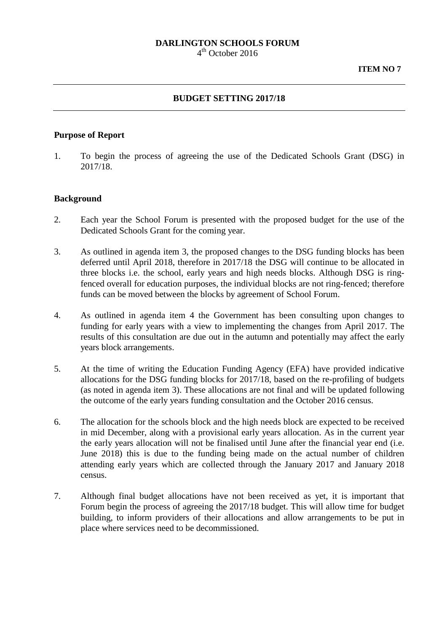# **DARLINGTON SCHOOLS FORUM**

 $4<sup>th</sup>$  October 2016

### **BUDGET SETTING 2017/18**

### **Purpose of Report**

1. To begin the process of agreeing the use of the Dedicated Schools Grant (DSG) in 2017/18.

# **Background**

- 2. Each year the School Forum is presented with the proposed budget for the use of the Dedicated Schools Grant for the coming year.
- 3. As outlined in agenda item 3, the proposed changes to the DSG funding blocks has been deferred until April 2018, therefore in 2017/18 the DSG will continue to be allocated in three blocks i.e. the school, early years and high needs blocks. Although DSG is ringfenced overall for education purposes, the individual blocks are not ring-fenced; therefore funds can be moved between the blocks by agreement of School Forum.
- 4. As outlined in agenda item 4 the Government has been consulting upon changes to funding for early years with a view to implementing the changes from April 2017. The results of this consultation are due out in the autumn and potentially may affect the early years block arrangements.
- 5. At the time of writing the Education Funding Agency (EFA) have provided indicative allocations for the DSG funding blocks for 2017/18, based on the re-profiling of budgets (as noted in agenda item 3). These allocations are not final and will be updated following the outcome of the early years funding consultation and the October 2016 census.
- 6. The allocation for the schools block and the high needs block are expected to be received in mid December, along with a provisional early years allocation. As in the current year the early years allocation will not be finalised until June after the financial year end (i.e. June 2018) this is due to the funding being made on the actual number of children attending early years which are collected through the January 2017 and January 2018 census.
- 7. Although final budget allocations have not been received as yet, it is important that Forum begin the process of agreeing the 2017/18 budget. This will allow time for budget building, to inform providers of their allocations and allow arrangements to be put in place where services need to be decommissioned.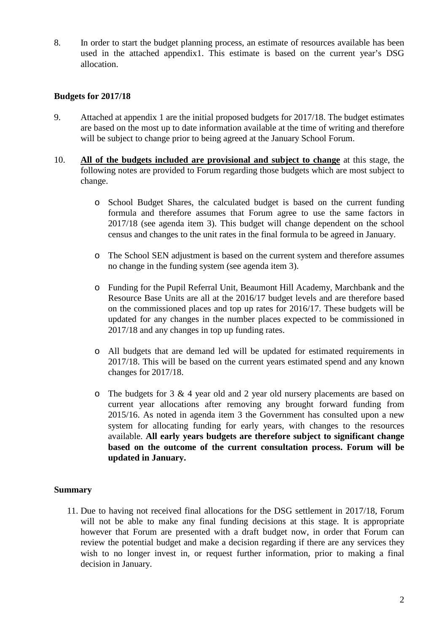8. In order to start the budget planning process, an estimate of resources available has been used in the attached appendix1. This estimate is based on the current year's DSG allocation.

# **Budgets for 2017/18**

- 9. Attached at appendix 1 are the initial proposed budgets for 2017/18. The budget estimates are based on the most up to date information available at the time of writing and therefore will be subject to change prior to being agreed at the January School Forum.
- 10. **All of the budgets included are provisional and subject to change** at this stage, the following notes are provided to Forum regarding those budgets which are most subject to change.
	- o School Budget Shares, the calculated budget is based on the current funding formula and therefore assumes that Forum agree to use the same factors in 2017/18 (see agenda item 3). This budget will change dependent on the school census and changes to the unit rates in the final formula to be agreed in January.
	- o The School SEN adjustment is based on the current system and therefore assumes no change in the funding system (see agenda item 3).
	- o Funding for the Pupil Referral Unit, Beaumont Hill Academy, Marchbank and the Resource Base Units are all at the 2016/17 budget levels and are therefore based on the commissioned places and top up rates for 2016/17. These budgets will be updated for any changes in the number places expected to be commissioned in 2017/18 and any changes in top up funding rates.
	- o All budgets that are demand led will be updated for estimated requirements in 2017/18. This will be based on the current years estimated spend and any known changes for 2017/18.
	- o The budgets for 3 & 4 year old and 2 year old nursery placements are based on current year allocations after removing any brought forward funding from 2015/16. As noted in agenda item 3 the Government has consulted upon a new system for allocating funding for early years, with changes to the resources available. **All early years budgets are therefore subject to significant change based on the outcome of the current consultation process. Forum will be updated in January.**

### **Summary**

11. Due to having not received final allocations for the DSG settlement in 2017/18, Forum will not be able to make any final funding decisions at this stage. It is appropriate however that Forum are presented with a draft budget now, in order that Forum can review the potential budget and make a decision regarding if there are any services they wish to no longer invest in, or request further information, prior to making a final decision in January.